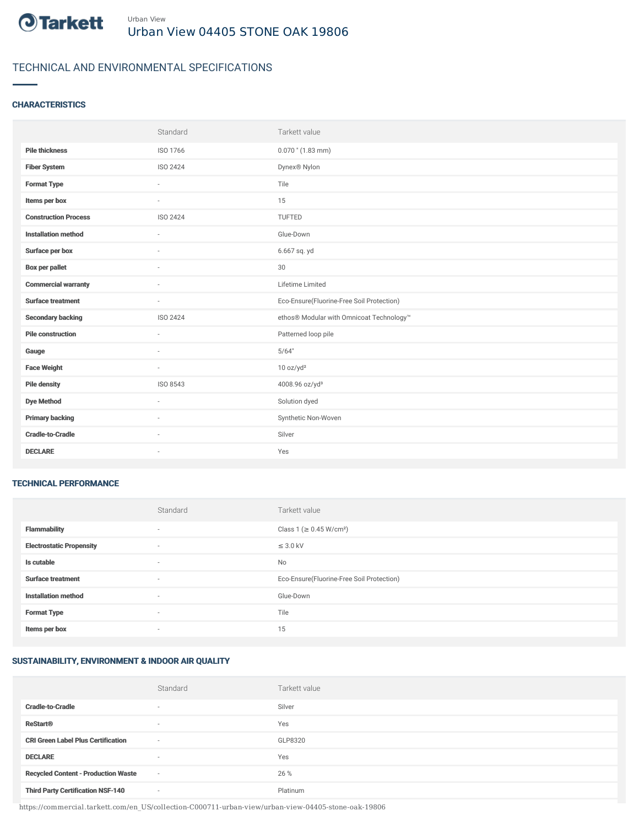

# TECHNICAL AND ENVIRONMENTAL SPECIFICATIONS

### **CHARACTERISTICS**

|                             | Standard | Tarkett value                             |
|-----------------------------|----------|-------------------------------------------|
| <b>Pile thickness</b>       | ISO 1766 | $0.070$ " $(1.83$ mm)                     |
| <b>Fiber System</b>         | ISO 2424 | Dynex® Nylon                              |
| <b>Format Type</b>          | $\sim$   | Tile                                      |
| Items per box               | ×.       | 15                                        |
| <b>Construction Process</b> | ISO 2424 | TUFTED                                    |
| <b>Installation method</b>  | ÷        | Glue-Down                                 |
| Surface per box             | $\sim$   | 6.667 sq. yd                              |
| <b>Box per pallet</b>       | $\sim$   | 30                                        |
| <b>Commercial warranty</b>  | $\sim$   | Lifetime Limited                          |
|                             |          |                                           |
| <b>Surface treatment</b>    | $\sim$   | Eco-Ensure(Fluorine-Free Soil Protection) |
| <b>Secondary backing</b>    | ISO 2424 | ethos® Modular with Omnicoat Technology™  |
| <b>Pile construction</b>    | ÷        | Patterned loop pile                       |
| Gauge                       | $\sim$   | 5/64"                                     |
| <b>Face Weight</b>          | $\sim$   | 10 oz/yd <sup>2</sup>                     |
| <b>Pile density</b>         | ISO 8543 | 4008.96 oz/yd <sup>3</sup>                |
| <b>Dye Method</b>           | $\sim$   | Solution dyed                             |
| <b>Primary backing</b>      | $\sim$   | Synthetic Non-Woven                       |
| <b>Cradle-to-Cradle</b>     |          | Silver                                    |

#### TECHNICAL PERFORMANCE

|                                 | Standard | Tarkett value                             |
|---------------------------------|----------|-------------------------------------------|
| <b>Flammability</b>             | $\sim$   | Class 1 (≥ 0.45 W/cm <sup>2</sup> )       |
| <b>Electrostatic Propensity</b> | $\sim$   | $\leq$ 3.0 kV                             |
| Is cutable                      | $\sim$   | No                                        |
| <b>Surface treatment</b>        | $\sim$   | Eco-Ensure(Fluorine-Free Soil Protection) |
| <b>Installation method</b>      | $\sim$   | Glue-Down                                 |
| <b>Format Type</b>              |          | Tile                                      |
| Items per box                   | $\sim$   | 15                                        |

# SUSTAINABILITY, ENVIRONMENT & INDOOR AIR QUALITY

|                                            | Standard                 | Tarkett value |
|--------------------------------------------|--------------------------|---------------|
| <b>Cradle-to-Cradle</b>                    | $\overline{\phantom{a}}$ | Silver        |
| <b>ReStart®</b>                            | $\overline{\phantom{a}}$ | Yes           |
| <b>CRI Green Label Plus Certification</b>  | $\overline{\phantom{a}}$ | GLP8320       |
| <b>DECLARE</b>                             | $\overline{\phantom{a}}$ | Yes           |
| <b>Recycled Content - Production Waste</b> | $\sim$                   | 26 %          |
| <b>Third Party Certification NSF-140</b>   | $\sim$                   | Platinum      |

https://commercial.tarkett.com/en\_US/collection-C000711-urban-view/urban-view-04405-stone-oak-19806